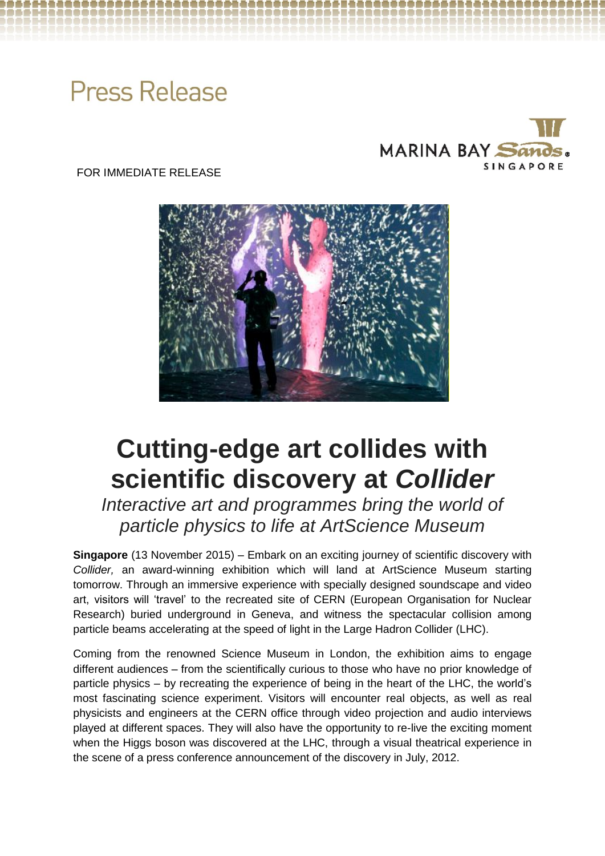# **Press Release**



FOR IMMEDIATE RELEASE



# **Cutting-edge art collides with scientific discovery at** *Collider*

*Interactive art and programmes bring the world of particle physics to life at ArtScience Museum* 

**Singapore** (13 November 2015) – Embark on an exciting journey of scientific discovery with *Collider,* an award-winning exhibition which will land at ArtScience Museum starting tomorrow. Through an immersive experience with specially designed soundscape and video art, visitors will 'travel' to the recreated site of CERN (European Organisation for Nuclear Research) buried underground in Geneva, and witness the spectacular collision among particle beams accelerating at the speed of light in the Large Hadron Collider (LHC).

Coming from the renowned Science Museum in London, the exhibition aims to engage different audiences – from the scientifically curious to those who have no prior knowledge of particle physics – by recreating the experience of being in the heart of the LHC, the world's most fascinating science experiment. Visitors will encounter real objects, as well as real physicists and engineers at the CERN office through video projection and audio interviews played at different spaces. They will also have the opportunity to re-live the exciting moment when the Higgs boson was discovered at the LHC, through a visual theatrical experience in the scene of a press conference announcement of the discovery in July, 2012.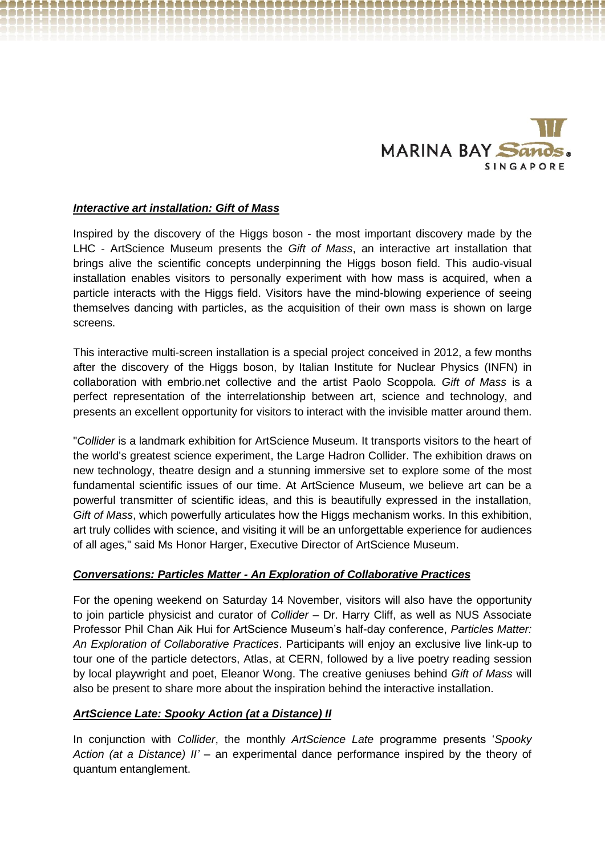

# *Interactive art installation: Gift of Mass*

Inspired by the discovery of the Higgs boson - the most important discovery made by the LHC - ArtScience Museum presents the *Gift of Mass*, an interactive art installation that brings alive the scientific concepts underpinning the Higgs boson field. This audio-visual installation enables visitors to personally experiment with how mass is acquired, when a particle interacts with the Higgs field. Visitors have the mind-blowing experience of seeing themselves dancing with particles, as the acquisition of their own mass is shown on large screens.

This interactive multi-screen installation is a special project conceived in 2012, a few months after the discovery of the Higgs boson, by Italian Institute for Nuclear Physics (INFN) in collaboration with embrio.net collective and the artist Paolo Scoppola. *Gift of Mass* is a perfect representation of the interrelationship between art, science and technology, and presents an excellent opportunity for visitors to interact with the invisible matter around them.

"*Collider* is a landmark exhibition for ArtScience Museum. It transports visitors to the heart of the world's greatest science experiment, the Large Hadron Collider. The exhibition draws on new technology, theatre design and a stunning immersive set to explore some of the most fundamental scientific issues of our time. At ArtScience Museum, we believe art can be a powerful transmitter of scientific ideas, and this is beautifully expressed in the installation, *Gift of Mass*, which powerfully articulates how the Higgs mechanism works. In this exhibition, art truly collides with science, and visiting it will be an unforgettable experience for audiences of all ages," said Ms Honor Harger, Executive Director of ArtScience Museum.

## *Conversations: Particles Matter - An Exploration of Collaborative Practices*

For the opening weekend on Saturday 14 November, visitors will also have the opportunity to join particle physicist and curator of *Collider –* Dr. Harry Cliff, as well as NUS Associate Professor Phil Chan Aik Hui for ArtScience Museum's half-day conference, *Particles Matter: An Exploration of Collaborative Practices*. Participants will enjoy an exclusive live link-up to tour one of the particle detectors, Atlas, at CERN, followed by a live poetry reading session by local playwright and poet, Eleanor Wong. The creative geniuses behind *Gift of Mass* will also be present to share more about the inspiration behind the interactive installation.

## *ArtScience Late: Spooky Action (at a Distance) II*

In conjunction with *Collider*, the monthly *ArtScience Late* programme presents '*Spooky Action (at a Distance) II' –* an experimental dance performance inspired by the theory of quantum entanglement.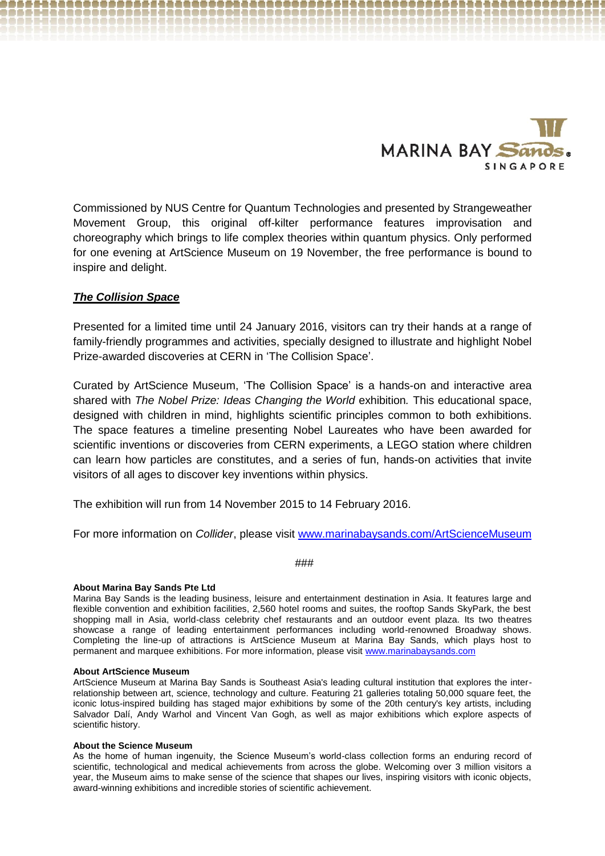

Commissioned by NUS Centre for Quantum Technologies and presented by Strangeweather Movement Group, this original off-kilter performance features improvisation and choreography which brings to life complex theories within quantum physics. Only performed for one evening at ArtScience Museum on 19 November, the free performance is bound to inspire and delight.

# *The Collision Space*

Presented for a limited time until 24 January 2016, visitors can try their hands at a range of family-friendly programmes and activities, specially designed to illustrate and highlight Nobel Prize-awarded discoveries at CERN in 'The Collision Space'.

Curated by ArtScience Museum, 'The Collision Space' is a hands-on and interactive area shared with *The Nobel Prize: Ideas Changing the World* exhibition*.* This educational space, designed with children in mind, highlights scientific principles common to both exhibitions. The space features a timeline presenting Nobel Laureates who have been awarded for scientific inventions or discoveries from CERN experiments, a LEGO station where children can learn how particles are constitutes, and a series of fun, hands-on activities that invite visitors of all ages to discover key inventions within physics.

The exhibition will run from 14 November 2015 to 14 February 2016.

For more information on *Collider*, please visit [www.marinabaysands.com/ArtScienceMuseum](http://www.marinabaysands.com/ArtScienceMuseum)

### ###

#### **About Marina Bay Sands Pte Ltd**

Marina Bay Sands is the leading business, leisure and entertainment destination in Asia. It features large and flexible convention and exhibition facilities, 2,560 hotel rooms and suites, the rooftop Sands SkyPark, the best shopping mall in Asia, world-class celebrity chef restaurants and an outdoor event plaza. Its two theatres showcase a range of leading entertainment performances including world-renowned Broadway shows. Completing the line-up of attractions is ArtScience Museum at Marina Bay Sands, which plays host to permanent and marquee exhibitions. For more information, please visit [www.marinabaysands.com](http://www.marinabaysands.com/)

#### **About ArtScience Museum**

ArtScience Museum at Marina Bay Sands is Southeast Asia's leading cultural institution that explores the interrelationship between art, science, technology and culture. Featuring 21 galleries totaling 50,000 square feet, the iconic lotus-inspired building has staged major exhibitions by some of the 20th century's key artists, including Salvador Dalí, Andy Warhol and Vincent Van Gogh, as well as major exhibitions which explore aspects of scientific history.

#### **About the Science Museum**

As the home of human ingenuity, the Science Museum's world-class collection forms an enduring record of scientific, technological and medical achievements from across the globe. Welcoming over 3 million visitors a year, the Museum aims to make sense of the science that shapes our lives, inspiring visitors with iconic objects, award-winning exhibitions and incredible stories of scientific achievement.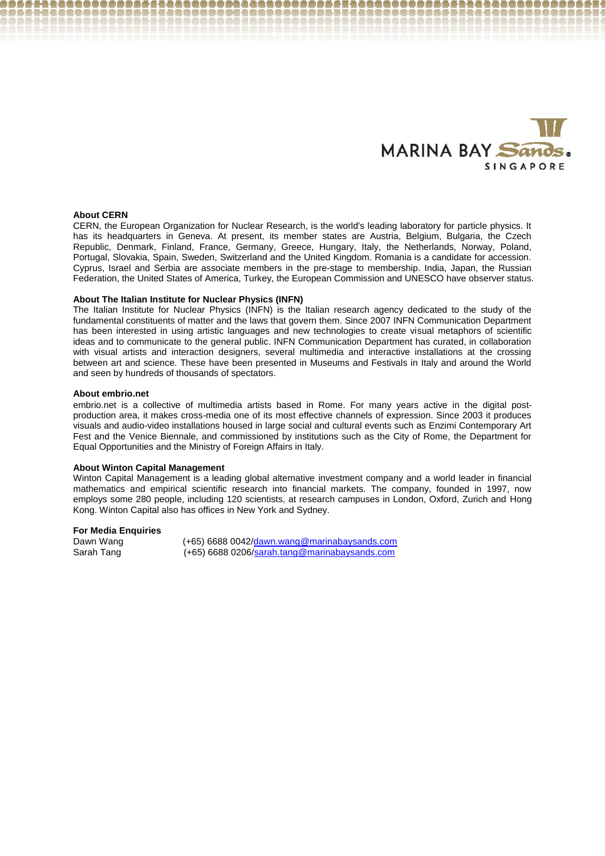

#### **About CERN**

CERN, the European Organization for Nuclear Research, is the world's leading laboratory for particle physics. It has its headquarters in Geneva. At present, its member states are Austria, Belgium, Bulgaria, the Czech Republic, Denmark, Finland, France, Germany, Greece, Hungary, Italy, the Netherlands, Norway, Poland, Portugal, Slovakia, Spain, Sweden, Switzerland and the United Kingdom. Romania is a candidate for accession. Cyprus, Israel and Serbia are associate members in the pre-stage to membership. India, Japan, the Russian Federation, the United States of America, Turkey, the European Commission and UNESCO have observer status.

#### **About The Italian Institute for Nuclear Physics (INFN)**

The Italian Institute for Nuclear Physics (INFN) is the Italian research agency dedicated to the study of the fundamental constituents of matter and the laws that govern them. Since 2007 INFN Communication Department has been interested in using artistic languages and new technologies to create visual metaphors of scientific ideas and to communicate to the general public. INFN Communication Department has curated, in collaboration with visual artists and interaction designers, several multimedia and interactive installations at the crossing between art and science. These have been presented in Museums and Festivals in Italy and around the World and seen by hundreds of thousands of spectators.

#### **About embrio.net**

embrio.net is a collective of multimedia artists based in Rome. For many years active in the digital postproduction area, it makes cross-media one of its most effective channels of expression. Since 2003 it produces visuals and audio-video installations housed in large social and cultural events such as Enzimi Contemporary Art Fest and the Venice Biennale, and commissioned by institutions such as the City of Rome, the Department for Equal Opportunities and the Ministry of Foreign Affairs in Italy.

#### **About Winton Capital Management**

Winton Capital Management is a leading global alternative investment company and a world leader in financial mathematics and empirical scientific research into financial markets. The company, founded in 1997, now employs some 280 people, including 120 scientists, at research campuses in London, Oxford, Zurich and Hong Kong. Winton Capital also has offices in New York and Sydney.

#### **For Media Enquiries**

Dawn Wang (+65) 6688 0042/dawn.wang@marinabaysands.com<br>Sarah Tang (+65) 6688 0206/sarah.tang@marinabaysands.com (+65) 6688 0206[/sarah.tang@marinabaysands.com](mailto:sarah.tang@marinabaysands.com)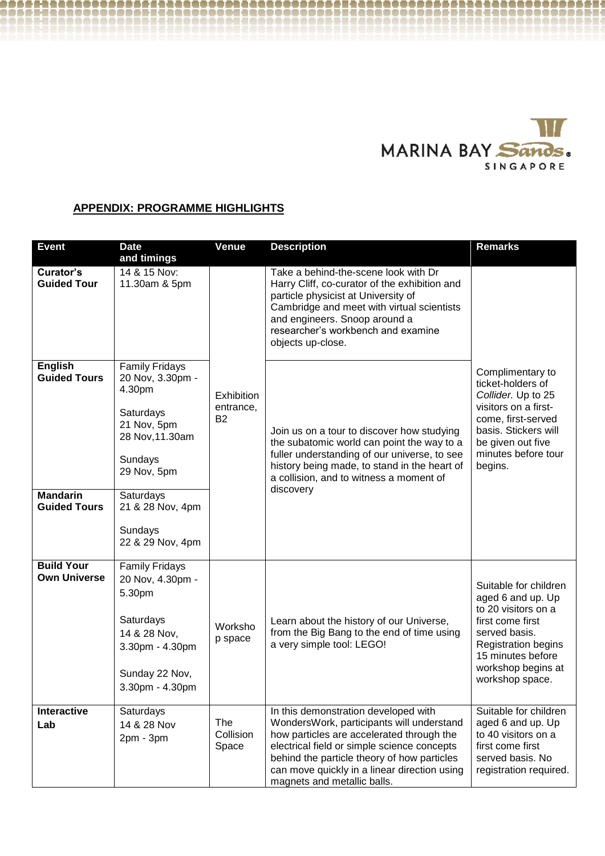

# **APPENDIX: PROGRAMME HIGHLIGHTS**

| <b>Event</b>                                                                    | <b>Date</b><br>and timings                                                                                                                                                                   | <b>Venue</b>                              | <b>Description</b>                                                                                                                                                                                                                                                                                          | <b>Remarks</b>                                                                                                                                                                                     |
|---------------------------------------------------------------------------------|----------------------------------------------------------------------------------------------------------------------------------------------------------------------------------------------|-------------------------------------------|-------------------------------------------------------------------------------------------------------------------------------------------------------------------------------------------------------------------------------------------------------------------------------------------------------------|----------------------------------------------------------------------------------------------------------------------------------------------------------------------------------------------------|
| Curator's<br><b>Guided Tour</b>                                                 | 14 & 15 Nov:<br>11.30am & 5pm                                                                                                                                                                |                                           | Take a behind-the-scene look with Dr<br>Harry Cliff, co-curator of the exhibition and<br>particle physicist at University of<br>Cambridge and meet with virtual scientists<br>and engineers. Snoop around a<br>researcher's workbench and examine<br>objects up-close.                                      |                                                                                                                                                                                                    |
| <b>English</b><br><b>Guided Tours</b><br><b>Mandarin</b><br><b>Guided Tours</b> | <b>Family Fridays</b><br>20 Nov, 3.30pm -<br>4.30pm<br>Saturdays<br>21 Nov, 5pm<br>28 Nov, 11.30am<br>Sundays<br>29 Nov, 5pm<br>Saturdays<br>21 & 28 Nov, 4pm<br>Sundays<br>22 & 29 Nov, 4pm | Exhibition<br>entrance,<br>B <sub>2</sub> | Join us on a tour to discover how studying<br>the subatomic world can point the way to a<br>fuller understanding of our universe, to see<br>history being made, to stand in the heart of<br>a collision, and to witness a moment of<br>discovery                                                            | Complimentary to<br>ticket-holders of<br>Collider. Up to 25<br>visitors on a first-<br>come, first-served<br>basis. Stickers will<br>be given out five<br>minutes before tour<br>begins.           |
| <b>Build Your</b><br><b>Own Universe</b>                                        | <b>Family Fridays</b><br>20 Nov, 4.30pm -<br>5.30pm<br>Saturdays<br>14 & 28 Nov,<br>3.30pm - 4.30pm<br>Sunday 22 Nov,<br>3.30pm - 4.30pm                                                     | Worksho<br>p space                        | Learn about the history of our Universe,<br>from the Big Bang to the end of time using<br>a very simple tool: LEGO!                                                                                                                                                                                         | Suitable for children<br>aged 6 and up. Up<br>to 20 visitors on a<br>first come first<br>served basis.<br><b>Registration begins</b><br>15 minutes before<br>workshop begins at<br>workshop space. |
| <b>Interactive</b><br>Lab                                                       | Saturdays<br>14 & 28 Nov<br>$2pm - 3pm$                                                                                                                                                      | The<br>Collision<br>Space                 | In this demonstration developed with<br>WondersWork, participants will understand<br>how particles are accelerated through the<br>electrical field or simple science concepts<br>behind the particle theory of how particles<br>can move quickly in a linear direction using<br>magnets and metallic balls. | Suitable for children<br>aged 6 and up. Up<br>to 40 visitors on a<br>first come first<br>served basis. No<br>registration required.                                                                |